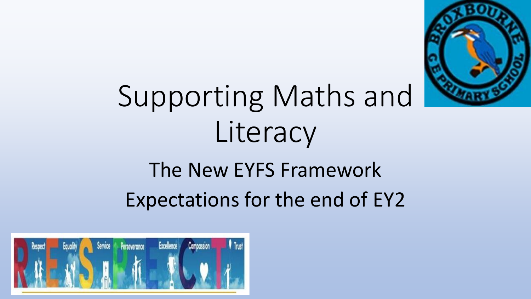

# Supporting Maths and Literacy

## The New EYFS Framework Expectations for the end of EY2

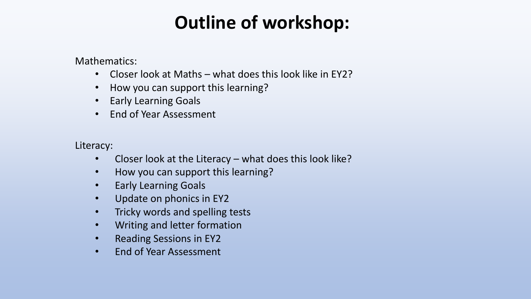### **Outline of workshop:**

Mathematics:

- Closer look at Maths what does this look like in EY2?
- How you can support this learning?
- Early Learning Goals
- End of Year Assessment

Literacy:

- Closer look at the Literacy what does this look like?
- How you can support this learning?
- Early Learning Goals
- Update on phonics in EY2
- Tricky words and spelling tests
- Writing and letter formation
- Reading Sessions in EY2
- End of Year Assessment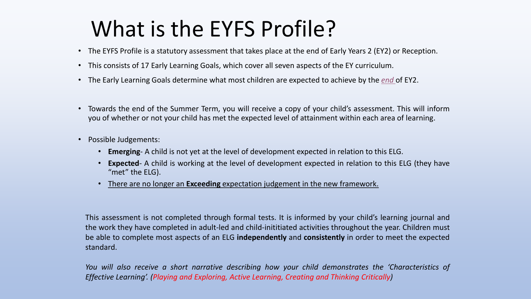### What is the EYFS Profile?

- The EYFS Profile is a statutory assessment that takes place at the end of Early Years 2 (EY2) or Reception.
- This consists of 17 Early Learning Goals, which cover all seven aspects of the EY curriculum.
- The Early Learning Goals determine what most children are expected to achieve by the *end* of EY2.
- Towards the end of the Summer Term, you will receive a copy of your child's assessment. This will inform you of whether or not your child has met the expected level of attainment within each area of learning.
- Possible Judgements:
	- **Emerging** A child is not yet at the level of development expected in relation to this ELG.
	- **Expected** A child is working at the level of development expected in relation to this ELG (they have "met" the ELG).
	- There are no longer an **Exceeding** expectation judgement in the new framework.

This assessment is not completed through formal tests. It is informed by your child's learning journal and the work they have completed in adult-led and child-inititiated activities throughout the year. Children must be able to complete most aspects of an ELG **independently** and **consistently** in order to meet the expected standard.

*You will also receive a short narrative describing how your child demonstrates the 'Characteristics of Effective Learning'. (Playing and Exploring, Active Learning, Creating and Thinking Critically)*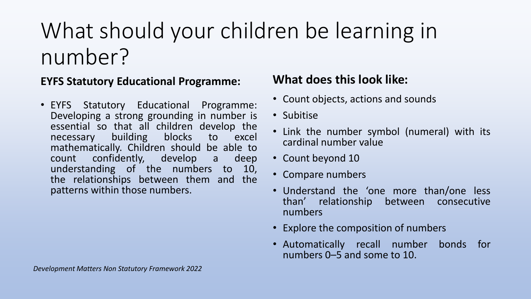## What should your children be learning in number?

#### **EYFS Statutory Educational Programme:**

• EYFS Statutory Educational Programme: Developing a strong grounding in number is essential so that all children develop the necessary building blocks to excel mathematically. Children should be able to count confidently, develop a deep understanding of the numbers to 10, the relationships between them and the patterns within those numbers.

### **What does this look like:**

- Count objects, actions and sounds
- Subitise
- Link the number symbol (numeral) with its cardinal number value
- Count beyond 10
- Compare numbers
- Understand the 'one more than/one less than' relationship between consecutive numbers
- Explore the composition of numbers
- Automatically recall number bonds for numbers 0–5 and some to 10.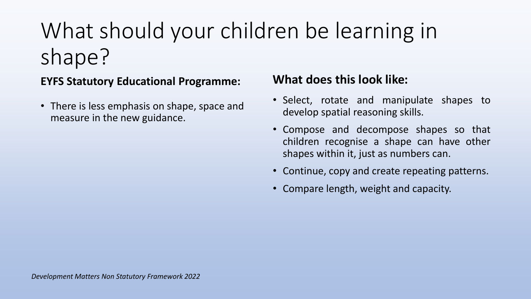## What should your children be learning in shape?

#### **EYFS Statutory Educational Programme:**

• There is less emphasis on shape, space and measure in the new guidance.

### **What does this look like:**

- Select, rotate and manipulate shapes to develop spatial reasoning skills.
- Compose and decompose shapes so that children recognise a shape can have other shapes within it, just as numbers can.
- Continue, copy and create repeating patterns.
- Compare length, weight and capacity.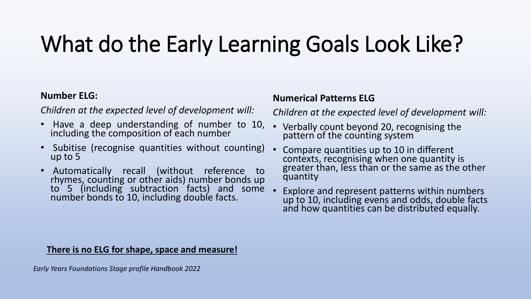## What do the Early Learning Goals Look Like?

#### **Number ELG:**

*Children at the expected level of development will:*

- Have a deep understanding of number to 10, including the composition of each number
- Subitise (recognise quantities without counting) up to 5
- Automatically recall (without reference to rhymes, counting or other aids) number bonds up to 5 (including subtraction facts) and some number bonds to 10, including double facts.

#### **Numerical Patterns ELG**

*Children at the expected level of development will:*

- Verbally count beyond 20, recognising the pattern of the counting system
- Compare quantities up to 10 in different contexts, recognising when one quantity is greater than, less than or the same as the other quantity
- Explore and represent patterns within numbers up to 10, including evens and odds, double facts and how quantities can be distributed equally.

#### **There is no ELG for shape, space and measure!**

*Early Years Foundations Stage profile Handbook 2022*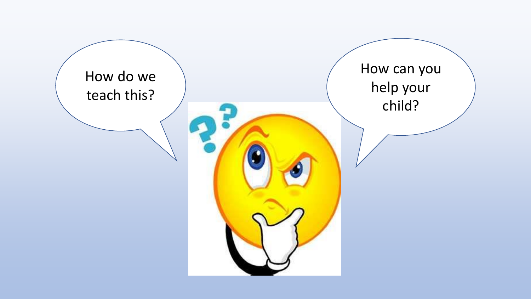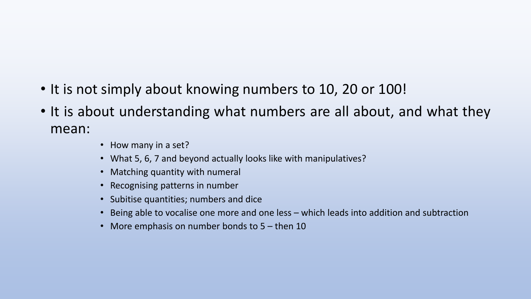- It is not simply about knowing numbers to 10, 20 or 100!
- It is about understanding what numbers are all about, and what they mean:
	- How many in a set?
	- What 5, 6, 7 and beyond actually looks like with manipulatives?
	- Matching quantity with numeral
	- Recognising patterns in number
	- Subitise quantities; numbers and dice
	- Being able to vocalise one more and one less which leads into addition and subtraction
	- More emphasis on number bonds to 5 then 10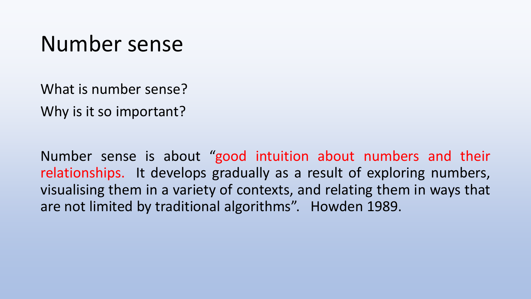### Number sense

What is number sense? Why is it so important?

Number sense is about "good intuition about numbers and their relationships. It develops gradually as a result of exploring numbers, visualising them in a variety of contexts, and relating them in ways that are not limited by traditional algorithms". Howden 1989.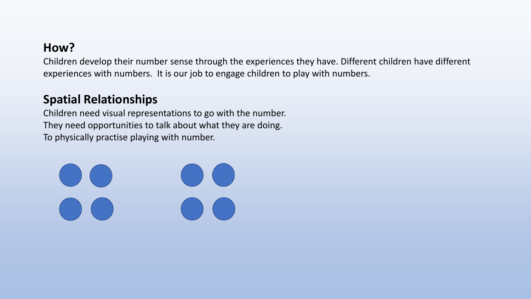### **How?**

Children develop their number sense through the experiences they have. Different children have different experiences with numbers. It is our job to engage children to play with numbers.

### **Spatial Relationships**

Children need visual representations to go with the number. They need opportunities to talk about what they are doing. To physically practise playing with number.

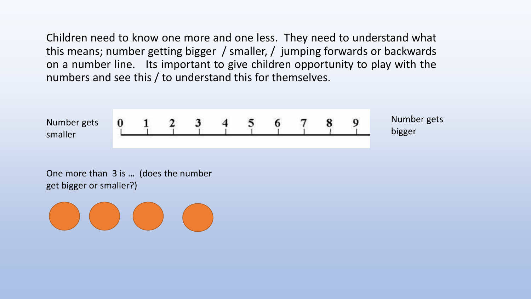Children need to know one more and one less. They need to understand what this means; number getting bigger / smaller, / jumping forwards or backwards on a number line. Its important to give children opportunity to play with the numbers and see this / to understand this for themselves.



One more than 3 is … (does the number get bigger or smaller?)

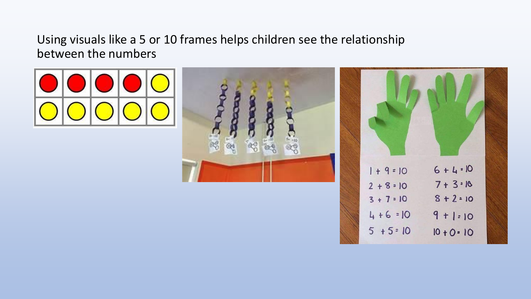### Using visuals like a 5 or 10 frames helps children see the relationship between the numbers





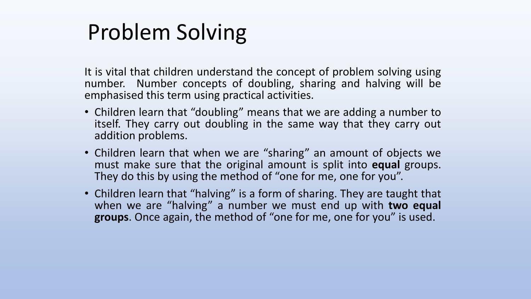### Problem Solving

It is vital that children understand the concept of problem solving using number. Number concepts of doubling, sharing and halving will be emphasised this term using practical activities.

- Children learn that "doubling" means that we are adding a number to itself. They carry out doubling in the same way that they carry out addition problems.
- Children learn that when we are "sharing" an amount of objects we must make sure that the original amount is split into **equal** groups. They do this by using the method of "one for me, one for you".
- Children learn that "halving" is a form of sharing. They are taught that when we are "halving" a number we must end up with **two equal groups**. Once again, the method of "one for me, one for you" is used.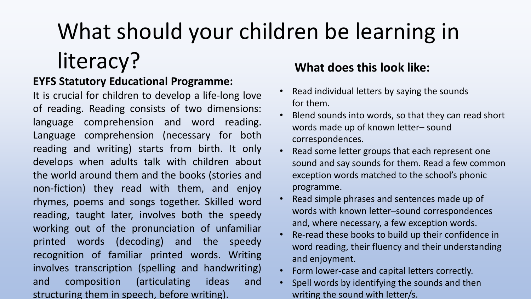### What should your children be learning in literacy? **What does this look like:**

### **EYFS Statutory Educational Programme:**

It is crucial for children to develop a life-long love of reading. Reading consists of two dimensions: language comprehension and word reading. Language comprehension (necessary for both reading and writing) starts from birth. It only develops when adults talk with children about the world around them and the books (stories and non-fiction) they read with them, and enjoy rhymes, poems and songs together. Skilled word reading, taught later, involves both the speedy working out of the pronunciation of unfamiliar printed words (decoding) and the speedy recognition of familiar printed words. Writing involves transcription (spelling and handwriting) and composition (articulating ideas and structuring them in speech, before writing).

#### • Read individual letters by saying the sounds for them.

- Blend sounds into words, so that they can read short words made up of known letter– sound correspondences.
- Read some letter groups that each represent one sound and say sounds for them. Read a few common exception words matched to the school's phonic programme.
- Read simple phrases and sentences made up of words with known letter–sound correspondences and, where necessary, a few exception words.
- Re-read these books to build up their confidence in word reading, their fluency and their understanding and enjoyment.
- Form lower-case and capital letters correctly.
- Spell words by identifying the sounds and then writing the sound with letter/s.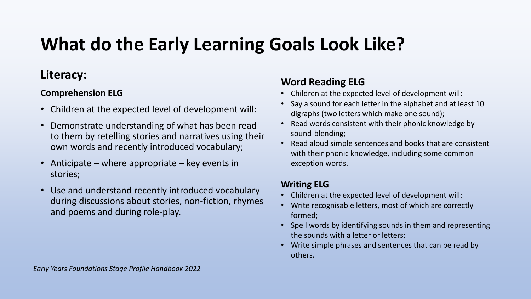### **What do the Early Learning Goals Look Like?**

### **Literacy:**

#### **Comprehension ELG**

- Children at the expected level of development will:
- Demonstrate understanding of what has been read to them by retelling stories and narratives using their own words and recently introduced vocabulary;
- Anticipate where appropriate key events in stories;
- Use and understand recently introduced vocabulary during discussions about stories, non-fiction, rhymes and poems and during role-play.

#### **Word Reading ELG**

- Children at the expected level of development will:
- Say a sound for each letter in the alphabet and at least 10 digraphs (two letters which make one sound);
- Read words consistent with their phonic knowledge by sound-blending;
- Read aloud simple sentences and books that are consistent with their phonic knowledge, including some common exception words.

#### **Writing ELG**

- Children at the expected level of development will:
- Write recognisable letters, most of which are correctly formed;
- Spell words by identifying sounds in them and representing the sounds with a letter or letters;
- Write simple phrases and sentences that can be read by others.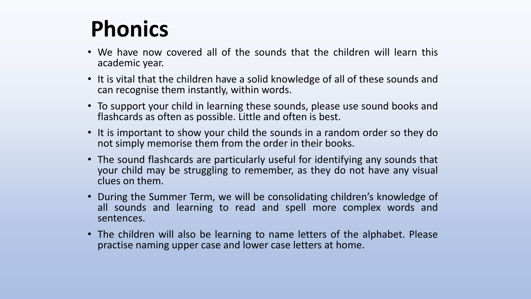### **Phonics**

- We have now covered all of the sounds that the children will learn this academic year.
- It is vital that the children have a solid knowledge of all of these sounds and can recognise them instantly, within words.
- To support your child in learning these sounds, please use sound books and flashcards as often as possible. Little and often is best.
- It is important to show your child the sounds in a random order so they do not simply memorise them from the order in their books.
- The sound flashcards are particularly useful for identifying any sounds that your child may be struggling to remember, as they do not have any visual clues on them.
- During the Summer Term, we will be consolidating children's knowledge of all sounds and learning to read and spell more complex words and sentences.
- The children will also be learning to name letters of the alphabet. Please practise naming upper case and lower case letters at home.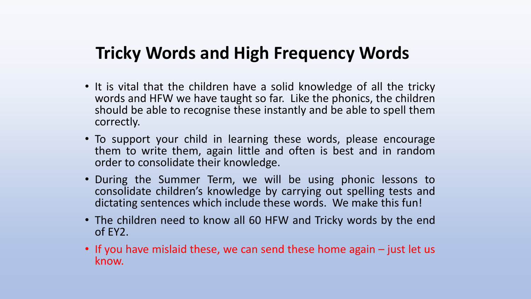### **Tricky Words and High Frequency Words**

- It is vital that the children have a solid knowledge of all the tricky words and HFW we have taught so far. Like the phonics, the children should be able to recognise these instantly and be able to spell them correctly.
- To support your child in learning these words, please encourage them to write them, again little and often is best and in random order to consolidate their knowledge.
- During the Summer Term, we will be using phonic lessons to consolidate children's knowledge by carrying out spelling tests and dictating sentences which include these words. We make this fun!
- The children need to know all 60 HFW and Tricky words by the end of EY2.
- If you have mislaid these, we can send these home again just let us know.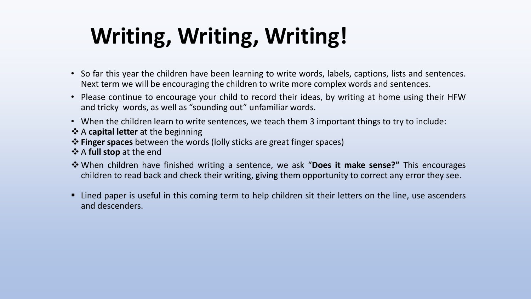## **Writing, Writing, Writing!**

- So far this year the children have been learning to write words, labels, captions, lists and sentences. Next term we will be encouraging the children to write more complex words and sentences.
- Please continue to encourage your child to record their ideas, by writing at home using their HFW and tricky words, as well as "sounding out" unfamiliar words.
- When the children learn to write sentences, we teach them 3 important things to try to include:
- ❖ A **capital letter** at the beginning
- ❖ **Finger spaces** between the words (lolly sticks are great finger spaces)
- ❖ A **full stop** at the end
- ❖ When children have finished writing a sentence, we ask "**Does it make sense?"** This encourages children to read back and check their writing, giving them opportunity to correct any error they see.
- Lined paper is useful in this coming term to help children sit their letters on the line, use ascenders and descenders.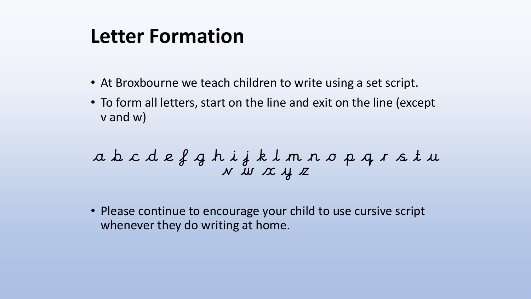### **Letter Formation**

- At Broxbourne we teach children to write using a set script.
- To form all letters, start on the line and exit on the line (except v and w)

a b c d e f g h i j k l m n o p q r s t u v w x y z

• Please continue to encourage your child to use cursive script whenever they do writing at home.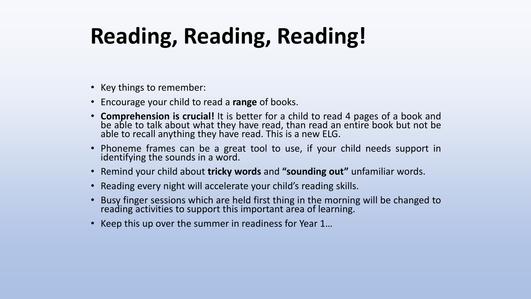## **Reading, Reading, Reading!**

- Key things to remember:
- Encourage your child to read a **range** of books.
- **Comprehension is crucial!** It is better for a child to read 4 pages of a book and be able to talk about what they have read, than read an entire book but not be able to recall anything they have read. This is a new ELG.
- Phoneme frames can be a great tool to use, if your child needs support in identifying the sounds in a word.
- Remind your child about **tricky words** and **"sounding out"** unfamiliar words.
- Reading every night will accelerate your child's reading skills.
- Busy finger sessions which are held first thing in the morning will be changed to reading activities to support this important area of learning.
- Keep this up over the summer in readiness for Year 1…